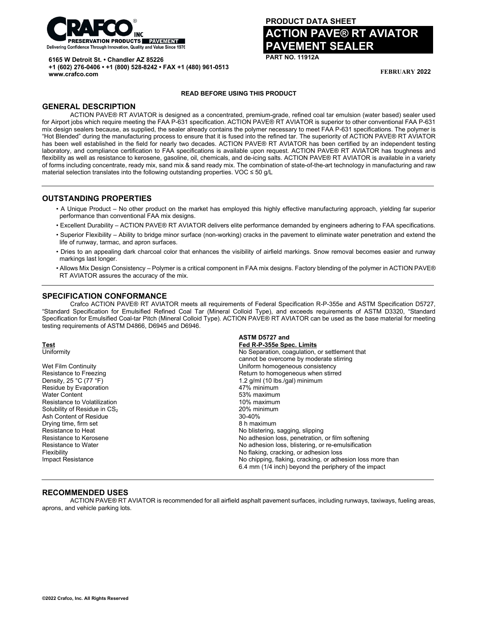

**6165 W Detroit St. • Chandler AZ 85226**

**+1 (602) 276-0406 • +1 (800) 528-8242 • FAX +1 (480) 961-0513 www.crafco.com**

# **PRODUCT DATA SHEET ACTION PAVE® RT AVIATOR VEMENT SEALER**

**PART NO. 11912A**

**FEBRUARY 2022**

#### **READ BEFORE USING THIS PRODUCT**

## **GENERAL DESCRIPTION**

ACTION PAVE® RT AVIATOR is designed as a concentrated, premium-grade, refined coal tar emulsion (water based) sealer used for Airport jobs which require meeting the FAA P-631 specification. ACTION PAVE® RT AVIATOR is superior to other conventional FAA P-631 mix design sealers because, as supplied, the sealer already contains the polymer necessary to meet FAA P-631 specifications. The polymer is "Hot Blended" during the manufacturing process to ensure that it is fused into the refined tar. The superiority of ACTION PAVE® RT AVIATOR has been well established in the field for nearly two decades. ACTION PAVE® RT AVIATOR has been certified by an independent testing laboratory, and compliance certification to FAA specifications is available upon request. ACTION PAVE® RT AVIATOR has toughness and flexibility as well as resistance to kerosene, gasoline, oil, chemicals, and de-icing salts. ACTION PAVE® RT AVIATOR is available in a variety of forms including concentrate, ready mix, sand mix & sand ready mix. The combination of state-of-the-art technology in manufacturing and raw material selection translates into the following outstanding properties. VOC ≤ 50 g/L

## **OUTSTANDING PROPERTIES**

- A Unique Product No other product on the market has employed this highly effective manufacturing approach, yielding far superior performance than conventional FAA mix designs.
- Excellent Durability ACTION PAVE® RT AVIATOR delivers elite performance demanded by engineers adhering to FAA specifications.
- Superior Flexibility Ability to bridge minor surface (non-working) cracks in the pavement to eliminate water penetration and extend the life of runway, tarmac, and apron surfaces.
- Dries to an appealing dark charcoal color that enhances the visibility of airfield markings. Snow removal becomes easier and runway markings last longer.
- Allows Mix Design Consistency Polymer is a critical component in FAA mix designs. Factory blending of the polymer in ACTION PAVE® RT AVIATOR assures the accuracy of the mix.

## **SPECIFICATION CONFORMANCE**

Crafco ACTION PAVE® RT AVIATOR meets all requirements of Federal Specification R-P-355e and ASTM Specification D5727, "Standard Specification for Emulsified Refined Coal Tar (Mineral Colloid Type), and exceeds requirements of ASTM D3320, "Standard Specification for Emulsified Coal-tar Pitch (Mineral Colloid Type). ACTION PAVE® RT AVIATOR can be used as the base material for meeting testing requirements of ASTM D4866, D6945 and D6946.

|                                        | ASTM D5727 and                                             |
|----------------------------------------|------------------------------------------------------------|
| <b>Test</b>                            | Fed R-P-355e Spec. Limits                                  |
| Uniformity                             | No Separation, coagulation, or settlement that             |
|                                        | cannot be overcome by moderate stirring                    |
| Wet Film Continuity                    | Uniform homogeneous consistency                            |
| Resistance to Freezing                 | Return to homogeneous when stirred                         |
| Density, 25 °C (77 °F)                 | 1.2 g/ml (10 lbs./gal) minimum                             |
| Residue by Evaporation                 | 47% minimum                                                |
| Water Content                          | 53% maximum                                                |
| Resistance to Volatilization           | 10% maximum                                                |
| Solubility of Residue in $\text{CS}_2$ | 20% minimum                                                |
| Ash Content of Residue                 | $30 - 40%$                                                 |
| Drying time, firm set                  | 8 h maximum                                                |
| Resistance to Heat                     | No blistering, sagging, slipping                           |
| Resistance to Kerosene                 | No adhesion loss, penetration, or film softening           |
| Resistance to Water                    | No adhesion loss, blistering, or re-emulsification         |
| Flexibility                            | No flaking, cracking, or adhesion loss                     |
| Impact Resistance                      | No chipping, flaking, cracking, or adhesion loss more than |
|                                        | 6.4 mm (1/4 inch) beyond the periphery of the impact       |

#### **RECOMMENDED USES**

ACTION PAVE® RT AVIATOR is recommended for all airfield asphalt pavement surfaces, including runways, taxiways, fueling areas, aprons, and vehicle parking lots.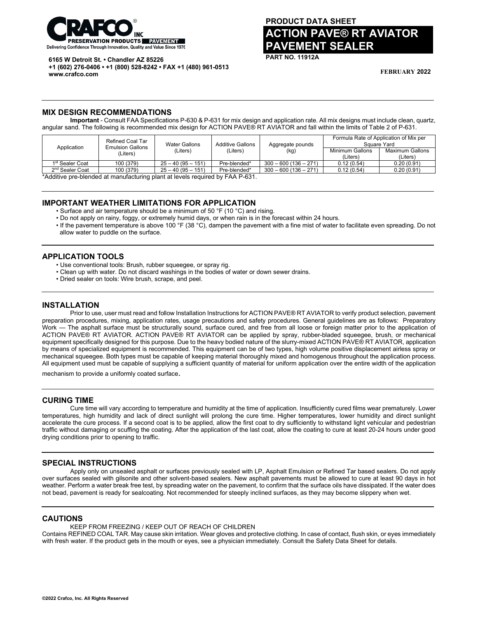

**6165 W Detroit St. • Chandler AZ 85226**

**+1 (602) 276-0406 • +1 (800) 528-8242 • FAX +1 (480) 961-0513 www.crafco.com**

# **PRODUCT DATA SHEET ACTION PAVE® RT AVIATOR PAVEMENT SEALER**

**PART NO. 11912A**

**FEBRUARY 2022**

## **MIX DESIGN RECOMMENDATIONS**

**Important** - Consult FAA Specifications P-630 & P-631 for mix design and application rate. All mix designs must include clean, quartz, angular sand. The following is recommended mix design for ACTION PAVE® RT AVIATOR and fall within the limits of Table 2 of P-631.

| Refined Coal Tar | <b>Water Gallons</b><br>(Liters) | <b>Additive Gallons</b><br>(Liters) | Aggregate pounds<br>(kg) | Formula Rate of Application of Mix per<br>Square Yard |                             |
|------------------|----------------------------------|-------------------------------------|--------------------------|-------------------------------------------------------|-----------------------------|
| (Liters)         |                                  |                                     |                          | Minimum Gallons<br>(Liters`                           | Maximum Gallons<br>(Liters) |
| 100 (379)        | $25 - 40(95 - 151)$              | Pre-blended*                        | $300 - 600(136 - 271)$   | 0.12(0.54)                                            | 0.20(0.91)                  |
| 100 (379)        | $25 - 40(95 - 151)$              | Pre-blended*                        | $300 - 600(136 - 271)$   | 0.12(0.54)                                            | 0.20(0.91)                  |
|                  | <b>Emulsion Gallons</b>          |                                     |                          | $- \cdot \cdot - \cdot$                               |                             |

\*Additive pre-blended at manufacturing plant at levels required by FAA P-631.

## **IMPORTANT WEATHER LIMITATIONS FOR APPLICATION**

- Surface and air temperature should be a minimum of 50 °F (10 °C) and rising.
- Do not apply on rainy, foggy, or extremely humid days, or when rain is in the forecast within 24 hours.
- If the pavement temperature is above 100 °F (38 °C), dampen the pavement with a fine mist of water to facilitate even spreading. Do not allow water to puddle on the surface.

## **APPLICATION TOOLS**

- Use conventional tools: Brush, rubber squeegee, or spray rig.
- Clean up with water. Do not discard washings in the bodies of water or down sewer drains.
- Dried sealer on tools: Wire brush, scrape, and peel.

## **INSTALLATION**

Prior to use, user must read and follow Installation Instructions for ACTION PAVE® RT AVIATOR to verify product selection, pavement preparation procedures, mixing, application rates, usage precautions and safety procedures. General guidelines are as follows: Preparatory Work — The asphalt surface must be structurally sound, surface cured, and free from all loose or foreign matter prior to the application of ACTION PAVE® RT AVIATOR. ACTION PAVE® RT AVIATOR can be applied by spray, rubber-bladed squeegee, brush, or mechanical equipment specifically designed for this purpose. Due to the heavy bodied nature of the slurry-mixed ACTION PAVE® RT AVIATOR, application by means of specialized equipment is recommended. This equipment can be of two types, high volume positive displacement airless spray or mechanical squeegee. Both types must be capable of keeping material thoroughly mixed and homogenous throughout the application process. All equipment used must be capable of supplying a sufficient quantity of material for uniform application over the entire width of the application

mechanism to provide a uniformly coated surface.

## **CURING TIME**

Cure time will vary according to temperature and humidity at the time of application. Insufficiently cured films wear prematurely. Lower temperatures, high humidity and lack of direct sunlight will prolong the cure time. Higher temperatures, lower humidity and direct sunlight accelerate the cure process. If a second coat is to be applied, allow the first coat to dry sufficiently to withstand light vehicular and pedestrian traffic without damaging or scuffing the coating. After the application of the last coat, allow the coating to cure at least 20-24 hours under good drying conditions prior to opening to traffic.

## **SPECIAL INSTRUCTIONS**

Apply only on unsealed asphalt or surfaces previously sealed with LP, Asphalt Emulsion or Refined Tar based sealers. Do not apply over surfaces sealed with gilsonite and other solvent-based sealers. New asphalt pavements must be allowed to cure at least 90 days in hot weather. Perform a water break free test, by spreading water on the pavement, to confirm that the surface oils have dissipated. If the water does not bead, pavement is ready for sealcoating. Not recommended for steeply inclined surfaces, as they may become slippery when wet.

## **CAUTIONS**

KEEP FROM FREEZING / KEEP OUT OF REACH OF CHILDREN

Contains REFINED COAL TAR. May cause skin irritation. Wear gloves and protective clothing. In case of contact, flush skin, or eyes immediately with fresh water. If the product gets in the mouth or eyes, see a physician immediately. Consult the Safety Data Sheet for details.